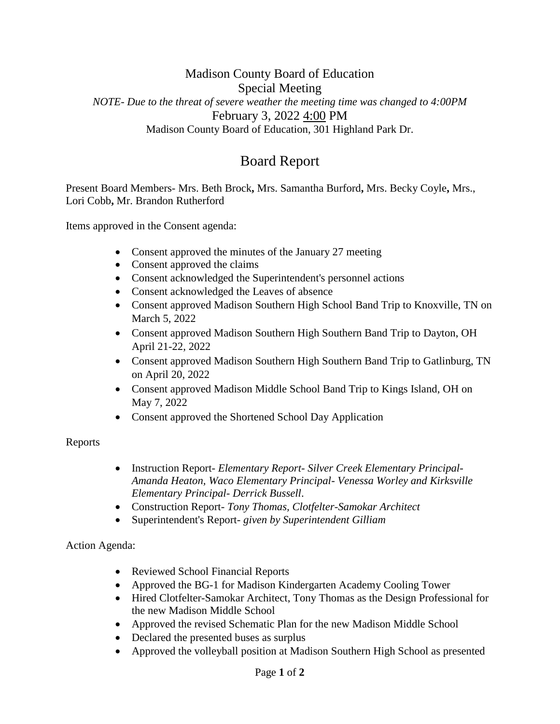## Madison County Board of Education Special Meeting *NOTE- Due to the threat of severe weather the meeting time was changed to 4:00PM* February 3, 2022 4:00 PM Madison County Board of Education, 301 Highland Park Dr.

## Board Report

Present Board Members- Mrs. Beth Brock**,** Mrs. Samantha Burford**,** Mrs. Becky Coyle**,** Mrs., Lori Cobb**,** Mr. Brandon Rutherford

Items approved in the Consent agenda:

- Consent approved the minutes of the January 27 meeting
- Consent approved the claims
- Consent acknowledged the Superintendent's personnel actions
- Consent acknowledged the Leaves of absence
- Consent approved Madison Southern High School Band Trip to Knoxville, TN on March 5, 2022
- Consent approved Madison Southern High Southern Band Trip to Dayton, OH April 21-22, 2022
- Consent approved Madison Southern High Southern Band Trip to Gatlinburg, TN on April 20, 2022
- Consent approved Madison Middle School Band Trip to Kings Island, OH on May 7, 2022
- Consent approved the Shortened School Day Application

## Reports

- Instruction Report- *Elementary Report- Silver Creek Elementary Principal-Amanda Heaton, Waco Elementary Principal- Venessa Worley and Kirksville Elementary Principal- Derrick Bussell*.
- Construction Report- *Tony Thomas, Clotfelter-Samokar Architect*
- Superintendent's Report- *given by Superintendent Gilliam*

## Action Agenda:

- Reviewed School Financial Reports
- Approved the BG-1 for Madison Kindergarten Academy Cooling Tower
- Hired Clotfelter-Samokar Architect, Tony Thomas as the Design Professional for the new Madison Middle School
- Approved the revised Schematic Plan for the new Madison Middle School
- Declared the presented buses as surplus
- Approved the volleyball position at Madison Southern High School as presented